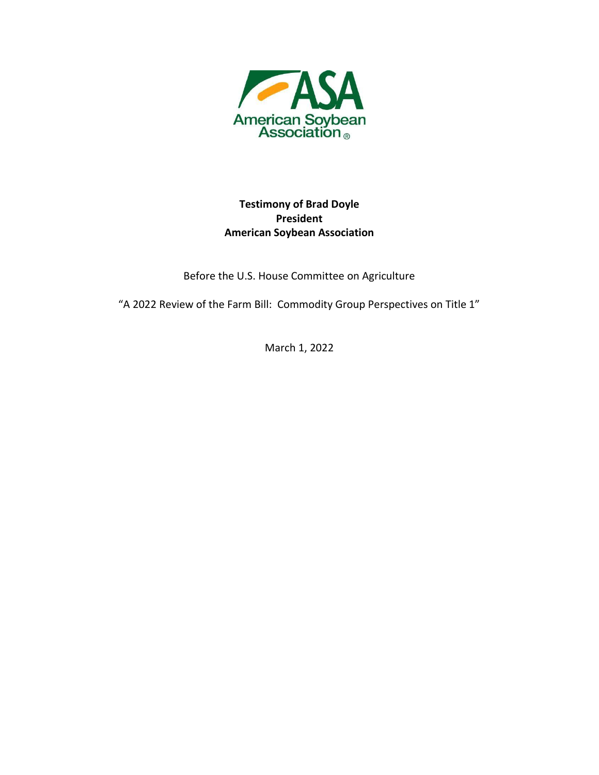

# **Testimony of Brad Doyle President American Soybean Association**

Before the U.S. House Committee on Agriculture

"A 2022 Review of the Farm Bill: Commodity Group Perspectives on Title 1"

March 1, 2022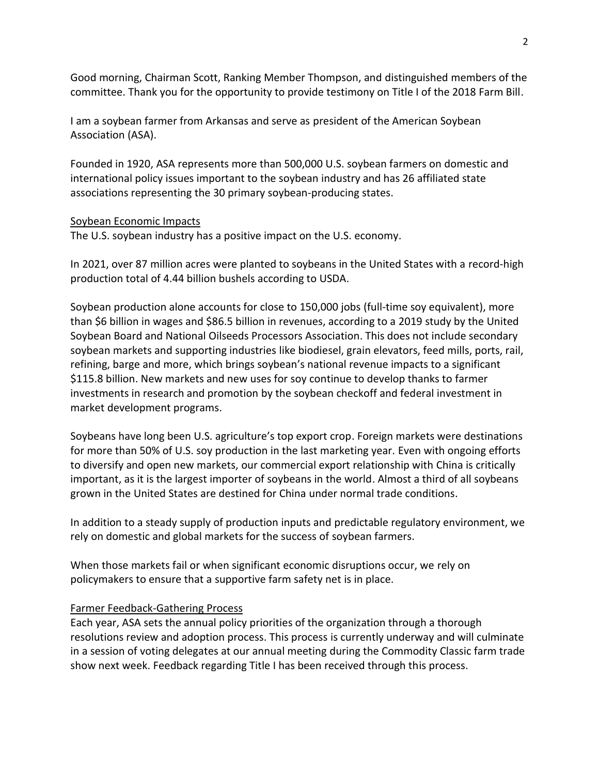Good morning, Chairman Scott, Ranking Member Thompson, and distinguished members of the committee. Thank you for the opportunity to provide testimony on Title I of the 2018 Farm Bill.

I am a soybean farmer from Arkansas and serve as president of the American Soybean Association (ASA).

Founded in 1920, ASA represents more than 500,000 U.S. soybean farmers on domestic and international policy issues important to the soybean industry and has 26 affiliated state associations representing the 30 primary soybean-producing states.

#### Soybean Economic Impacts

The U.S. soybean industry has a positive impact on the U.S. economy.

In 2021, over 87 million acres were planted to soybeans in the United States with a record-high production total of 4.44 billion bushels according to USDA.

Soybean production alone accounts for close to 150,000 jobs (full-time soy equivalent), more than \$6 billion in wages and \$86.5 billion in revenues, according to a 2019 study by the United Soybean Board and National Oilseeds Processors Association. This does not include secondary soybean markets and supporting industries like biodiesel, grain elevators, feed mills, ports, rail, refining, barge and more, which brings soybean's national revenue impacts to a significant \$115.8 billion. New markets and new uses for soy continue to develop thanks to farmer investments in research and promotion by the soybean checkoff and federal investment in market development programs.

Soybeans have long been U.S. agriculture's top export crop. Foreign markets were destinations for more than 50% of U.S. soy production in the last marketing year. Even with ongoing efforts to diversify and open new markets, our commercial export relationship with China is critically important, as it is the largest importer of soybeans in the world. Almost a third of all soybeans grown in the United States are destined for China under normal trade conditions.

In addition to a steady supply of production inputs and predictable regulatory environment, we rely on domestic and global markets for the success of soybean farmers.

When those markets fail or when significant economic disruptions occur, we rely on policymakers to ensure that a supportive farm safety net is in place.

### Farmer Feedback-Gathering Process

Each year, ASA sets the annual policy priorities of the organization through a thorough resolutions review and adoption process. This process is currently underway and will culminate in a session of voting delegates at our annual meeting during the Commodity Classic farm trade show next week. Feedback regarding Title I has been received through this process.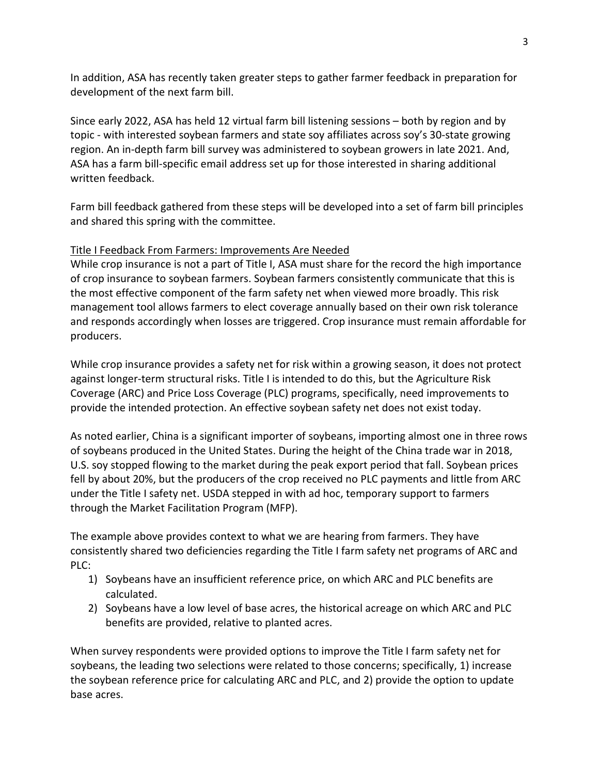In addition, ASA has recently taken greater steps to gather farmer feedback in preparation for development of the next farm bill.

Since early 2022, ASA has held 12 virtual farm bill listening sessions – both by region and by topic - with interested soybean farmers and state soy affiliates across soy's 30-state growing region. An in-depth farm bill survey was administered to soybean growers in late 2021. And, ASA has a farm bill-specific email address set up for those interested in sharing additional written feedback.

Farm bill feedback gathered from these steps will be developed into a set of farm bill principles and shared this spring with the committee.

## Title I Feedback From Farmers: Improvements Are Needed

While crop insurance is not a part of Title I, ASA must share for the record the high importance of crop insurance to soybean farmers. Soybean farmers consistently communicate that this is the most effective component of the farm safety net when viewed more broadly. This risk management tool allows farmers to elect coverage annually based on their own risk tolerance and responds accordingly when losses are triggered. Crop insurance must remain affordable for producers.

While crop insurance provides a safety net for risk within a growing season, it does not protect against longer-term structural risks. Title I is intended to do this, but the Agriculture Risk Coverage (ARC) and Price Loss Coverage (PLC) programs, specifically, need improvements to provide the intended protection. An effective soybean safety net does not exist today.

As noted earlier, China is a significant importer of soybeans, importing almost one in three rows of soybeans produced in the United States. During the height of the China trade war in 2018, U.S. soy stopped flowing to the market during the peak export period that fall. Soybean prices fell by about 20%, but the producers of the crop received no PLC payments and little from ARC under the Title I safety net. USDA stepped in with ad hoc, temporary support to farmers through the Market Facilitation Program (MFP).

The example above provides context to what we are hearing from farmers. They have consistently shared two deficiencies regarding the Title I farm safety net programs of ARC and PLC:

- 1) Soybeans have an insufficient reference price, on which ARC and PLC benefits are calculated.
- 2) Soybeans have a low level of base acres, the historical acreage on which ARC and PLC benefits are provided, relative to planted acres.

When survey respondents were provided options to improve the Title I farm safety net for soybeans, the leading two selections were related to those concerns; specifically, 1) increase the soybean reference price for calculating ARC and PLC, and 2) provide the option to update base acres.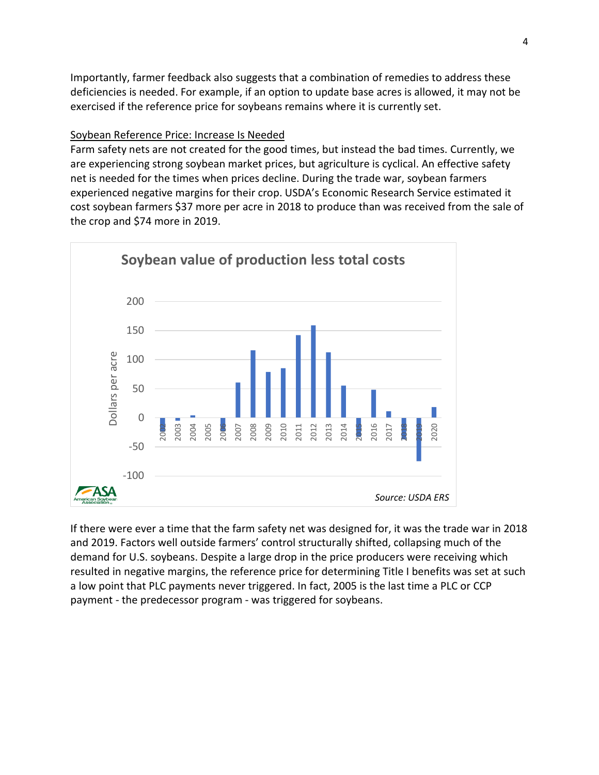Importantly, farmer feedback also suggests that a combination of remedies to address these deficiencies is needed. For example, if an option to update base acres is allowed, it may not be exercised if the reference price for soybeans remains where it is currently set.

### Soybean Reference Price: Increase Is Needed

Farm safety nets are not created for the good times, but instead the bad times. Currently, we are experiencing strong soybean market prices, but agriculture is cyclical. An effective safety net is needed for the times when prices decline. During the trade war, soybean farmers experienced negative margins for their crop. USDA's Economic Research Service estimated it cost soybean farmers \$37 more per acre in 2018 to produce than was received from the sale of the crop and \$74 more in 2019.



If there were ever a time that the farm safety net was designed for, it was the trade war in 2018 and 2019. Factors well outside farmers' control structurally shifted, collapsing much of the demand for U.S. soybeans. Despite a large drop in the price producers were receiving which resulted in negative margins, the reference price for determining Title I benefits was set at such a low point that PLC payments never triggered. In fact, 2005 is the last time a PLC or CCP payment - the predecessor program - was triggered for soybeans.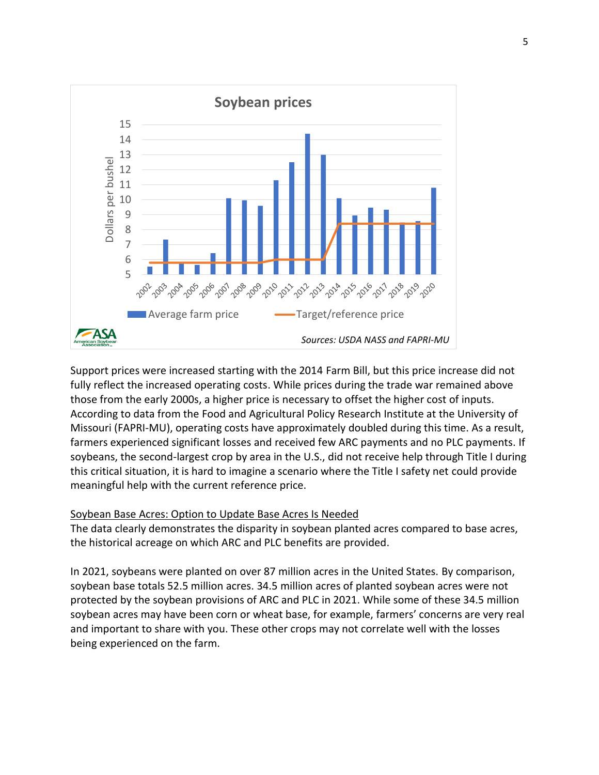

Support prices were increased starting with the 2014 Farm Bill, but this price increase did not fully reflect the increased operating costs. While prices during the trade war remained above those from the early 2000s, a higher price is necessary to offset the higher cost of inputs. According to data from the Food and Agricultural Policy Research Institute at the University of Missouri (FAPRI-MU), operating costs have approximately doubled during this time. As a result, farmers experienced significant losses and received few ARC payments and no PLC payments. If soybeans, the second-largest crop by area in the U.S., did not receive help through Title I during this critical situation, it is hard to imagine a scenario where the Title I safety net could provide meaningful help with the current reference price.

### Soybean Base Acres: Option to Update Base Acres Is Needed

The data clearly demonstrates the disparity in soybean planted acres compared to base acres, the historical acreage on which ARC and PLC benefits are provided.

In 2021, soybeans were planted on over 87 million acres in the United States. By comparison, soybean base totals 52.5 million acres. 34.5 million acres of planted soybean acres were not protected by the soybean provisions of ARC and PLC in 2021. While some of these 34.5 million soybean acres may have been corn or wheat base, for example, farmers' concerns are very real and important to share with you. These other crops may not correlate well with the losses being experienced on the farm.